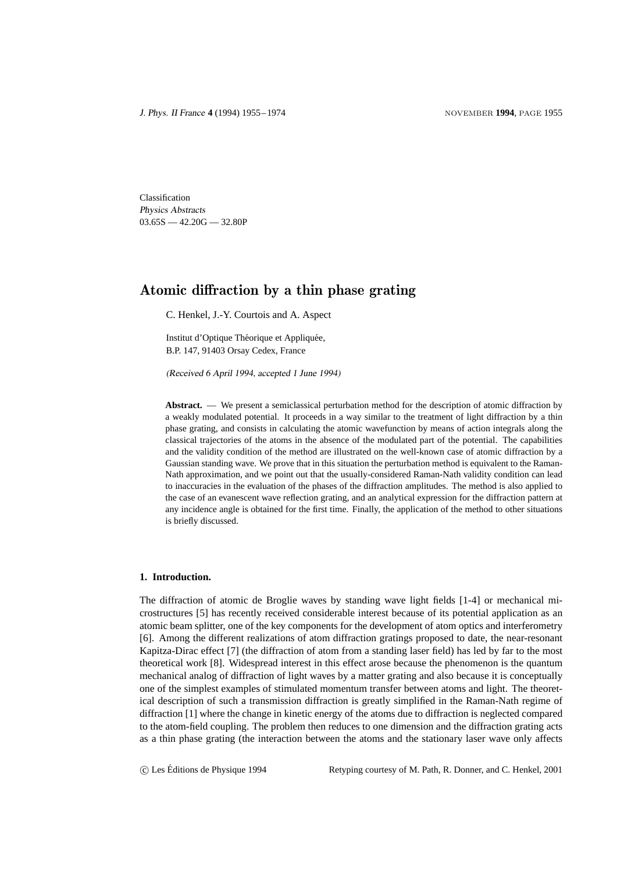Classification Physics Abstracts  $03.65S - 42.20G - 32.80P$ 

# Atomic diffraction by a thin phase grating

C. Henkel, J.-Y. Courtois and A. Aspect

Institut d'Optique Théorique et Appliquée, B.P. 147, 91403 Orsay Cedex, France

(Received 6 April 1994, accepted 1 June 1994)

**Abstract.** — We present a semiclassical perturbation method for the description of atomic diffraction by a weakly modulated potential. It proceeds in a way similar to the treatment of light diffraction by a thin phase grating, and consists in calculating the atomic wavefunction by means of action integrals along the classical trajectories of the atoms in the absence of the modulated part of the potential. The capabilities and the validity condition of the method are illustrated on the well-known case of atomic diffraction by a Gaussian standing wave. We prove that in this situation the perturbation method is equivalent to the Raman-Nath approximation, and we point out that the usually-considered Raman-Nath validity condition can lead to inaccuracies in the evaluation of the phases of the diffraction amplitudes. The method is also applied to the case of an evanescent wave reflection grating, and an analytical expression for the diffraction pattern at any incidence angle is obtained for the first time. Finally, the application of the method to other situations is briefly discussed.

## **1. Introduction.**

The diffraction of atomic de Broglie waves by standing wave light fields [1-4] or mechanical microstructures [5] has recently received considerable interest because of its potential application as an atomic beam splitter, one of the key components for the development of atom optics and interferometry [6]. Among the different realizations of atom diffraction gratings proposed to date, the near-resonant Kapitza-Dirac effect [7] (the diffraction of atom from a standing laser field) has led by far to the most theoretical work [8]. Widespread interest in this effect arose because the phenomenon is the quantum mechanical analog of diffraction of light waves by a matter grating and also because it is conceptually one of the simplest examples of stimulated momentum transfer between atoms and light. The theoretical description of such a transmission diffraction is greatly simplified in the Raman-Nath regime of diffraction [1] where the change in kinetic energy of the atoms due to diffraction is neglected compared to the atom-field coupling. The problem then reduces to one dimension and the diffraction grating acts as a thin phase grating (the interaction between the atoms and the stationary laser wave only affects

c Les Editions de Physique 1994 Retyping courtesy of M. Path, R. Donner, and C. Henkel, 2001 ´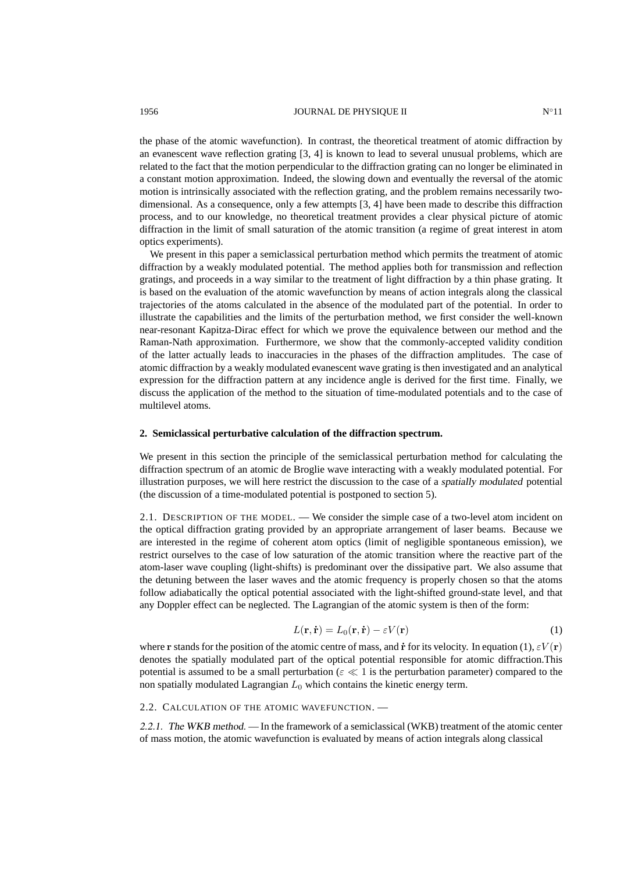the phase of the atomic wavefunction). In contrast, the theoretical treatment of atomic diffraction by an evanescent wave reflection grating [3, 4] is known to lead to several unusual problems, which are related to the fact that the motion perpendicular to the diffraction grating can no longer be eliminated in

a constant motion approximation. Indeed, the slowing down and eventually the reversal of the atomic motion is intrinsically associated with the reflection grating, and the problem remains necessarily twodimensional. As a consequence, only a few attempts [3, 4] have been made to describe this diffraction process, and to our knowledge, no theoretical treatment provides a clear physical picture of atomic diffraction in the limit of small saturation of the atomic transition (a regime of great interest in atom optics experiments).

We present in this paper a semiclassical perturbation method which permits the treatment of atomic diffraction by a weakly modulated potential. The method applies both for transmission and reflection gratings, and proceeds in a way similar to the treatment of light diffraction by a thin phase grating. It is based on the evaluation of the atomic wavefunction by means of action integrals along the classical trajectories of the atoms calculated in the absence of the modulated part of the potential. In order to illustrate the capabilities and the limits of the perturbation method, we first consider the well-known near-resonant Kapitza-Dirac effect for which we prove the equivalence between our method and the Raman-Nath approximation. Furthermore, we show that the commonly-accepted validity condition of the latter actually leads to inaccuracies in the phases of the diffraction amplitudes. The case of atomic diffraction by a weakly modulated evanescent wave grating is then investigated and an analytical expression for the diffraction pattern at any incidence angle is derived for the first time. Finally, we discuss the application of the method to the situation of time-modulated potentials and to the case of multilevel atoms.

## **2. Semiclassical perturbative calculation of the diffraction spectrum.**

We present in this section the principle of the semiclassical perturbation method for calculating the diffraction spectrum of an atomic de Broglie wave interacting with a weakly modulated potential. For illustration purposes, we will here restrict the discussion to the case of a spatially modulated potential (the discussion of a time-modulated potential is postponed to section 5).

2.1. DESCRIPTION OF THE MODEL. — We consider the simple case of a two-level atom incident on the optical diffraction grating provided by an appropriate arrangement of laser beams. Because we are interested in the regime of coherent atom optics (limit of negligible spontaneous emission), we restrict ourselves to the case of low saturation of the atomic transition where the reactive part of the atom-laser wave coupling (light-shifts) is predominant over the dissipative part. We also assume that the detuning between the laser waves and the atomic frequency is properly chosen so that the atoms follow adiabatically the optical potential associated with the light-shifted ground-state level, and that any Doppler effect can be neglected. The Lagrangian of the atomic system is then of the form:

$$
L(\mathbf{r}, \dot{\mathbf{r}}) = L_0(\mathbf{r}, \dot{\mathbf{r}}) - \varepsilon V(\mathbf{r})
$$
\n(1)

where r stands for the position of the atomic centre of mass, and  $\dot{\mathbf{r}}$  for its velocity. In equation (1),  $\epsilon V(\mathbf{r})$ denotes the spatially modulated part of the optical potential responsible for atomic diffraction.This potential is assumed to be a small perturbation ( $\varepsilon \ll 1$  is the perturbation parameter) compared to the non spatially modulated Lagrangian  $L_0$  which contains the kinetic energy term.

## 2.2. CALCULATION OF THE ATOMIC WAVEFUNCTION. —

2.2.1. The WKB method. — In the framework of a semiclassical (WKB) treatment of the atomic center of mass motion, the atomic wavefunction is evaluated by means of action integrals along classical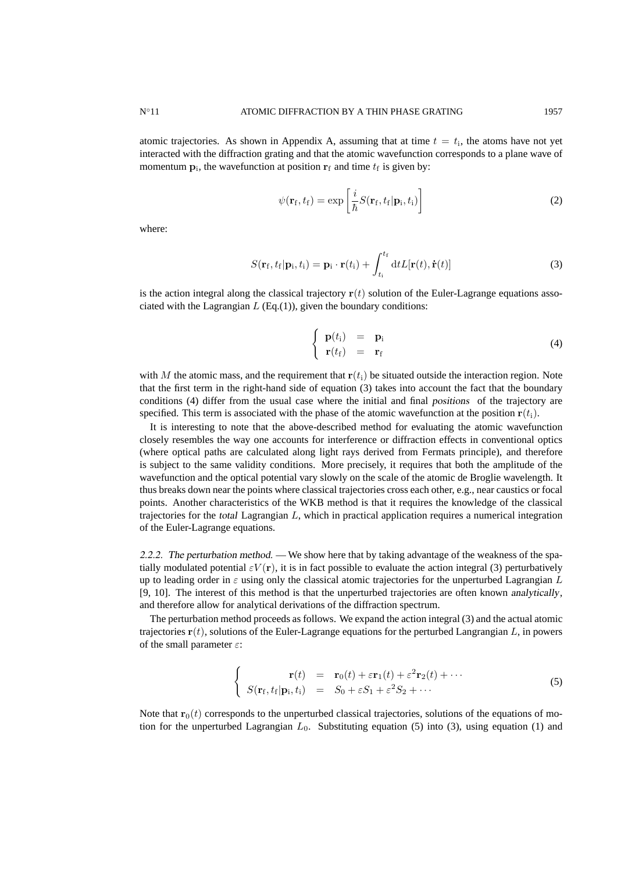atomic trajectories. As shown in Appendix A, assuming that at time  $t = t_i$ , the atoms have not yet interacted with the diffraction grating and that the atomic wavefunction corresponds to a plane wave of momentum  $\mathbf{p}_i$ , the wavefunction at position  $\mathbf{r}_f$  and time  $t_f$  is given by:

$$
\psi(\mathbf{r}_{\mathrm{f}},t_{\mathrm{f}})=\exp\left[\frac{i}{\hbar}S(\mathbf{r}_{\mathrm{f}},t_{\mathrm{f}}|\mathbf{p}_{\mathrm{i}},t_{\mathrm{i}})\right]
$$
\n(2)

where:

$$
S(\mathbf{r}_{\mathrm{f}},t_{\mathrm{f}}|\mathbf{p}_{\mathrm{i}},t_{\mathrm{i}})=\mathbf{p}_{\mathrm{i}}\cdot\mathbf{r}(t_{\mathrm{i}})+\int_{t_{\mathrm{i}}}^{t_{\mathrm{f}}}dtL[\mathbf{r}(t),\dot{\mathbf{r}}(t)]
$$
(3)

is the action integral along the classical trajectory  $r(t)$  solution of the Euler-Lagrange equations associated with the Lagrangian  $L$  (Eq.(1)), given the boundary conditions:

$$
\begin{cases}\n\mathbf{p}(t_i) = \mathbf{p}_i \\
\mathbf{r}(t_f) = \mathbf{r}_f\n\end{cases}
$$
\n(4)

with M the atomic mass, and the requirement that  $r(t_i)$  be situated outside the interaction region. Note that the first term in the right-hand side of equation (3) takes into account the fact that the boundary conditions (4) differ from the usual case where the initial and final positions of the trajectory are specified. This term is associated with the phase of the atomic wavefunction at the position  $r(t_i)$ .

It is interesting to note that the above-described method for evaluating the atomic wavefunction closely resembles the way one accounts for interference or diffraction effects in conventional optics (where optical paths are calculated along light rays derived from Fermats principle), and therefore is subject to the same validity conditions. More precisely, it requires that both the amplitude of the wavefunction and the optical potential vary slowly on the scale of the atomic de Broglie wavelength. It thus breaks down near the points where classical trajectories cross each other, e.g., near caustics or focal points. Another characteristics of the WKB method is that it requires the knowledge of the classical trajectories for the total Lagrangian L, which in practical application requires a numerical integration of the Euler-Lagrange equations.

2.2.2. The perturbation method. — We show here that by taking advantage of the weakness of the spatially modulated potential  $\varepsilon V(\mathbf{r})$ , it is in fact possible to evaluate the action integral (3) perturbatively up to leading order in  $\varepsilon$  using only the classical atomic trajectories for the unperturbed Lagrangian L [9, 10]. The interest of this method is that the unperturbed trajectories are often known analytically, and therefore allow for analytical derivations of the diffraction spectrum.

The perturbation method proceeds as follows. We expand the action integral (3) and the actual atomic trajectories  $\mathbf{r}(t)$ , solutions of the Euler-Lagrange equations for the perturbed Langrangian L, in powers of the small parameter  $\varepsilon$ :

$$
\begin{cases}\n\mathbf{r}(t) = \mathbf{r}_0(t) + \varepsilon \mathbf{r}_1(t) + \varepsilon^2 \mathbf{r}_2(t) + \cdots \\
S(\mathbf{r}_f, t_f | \mathbf{p}_i, t_i) = S_0 + \varepsilon S_1 + \varepsilon^2 S_2 + \cdots\n\end{cases}
$$
\n(5)

Note that  $\mathbf{r}_0(t)$  corresponds to the unperturbed classical trajectories, solutions of the equations of motion for the unperturbed Lagrangian  $L_0$ . Substituting equation (5) into (3), using equation (1) and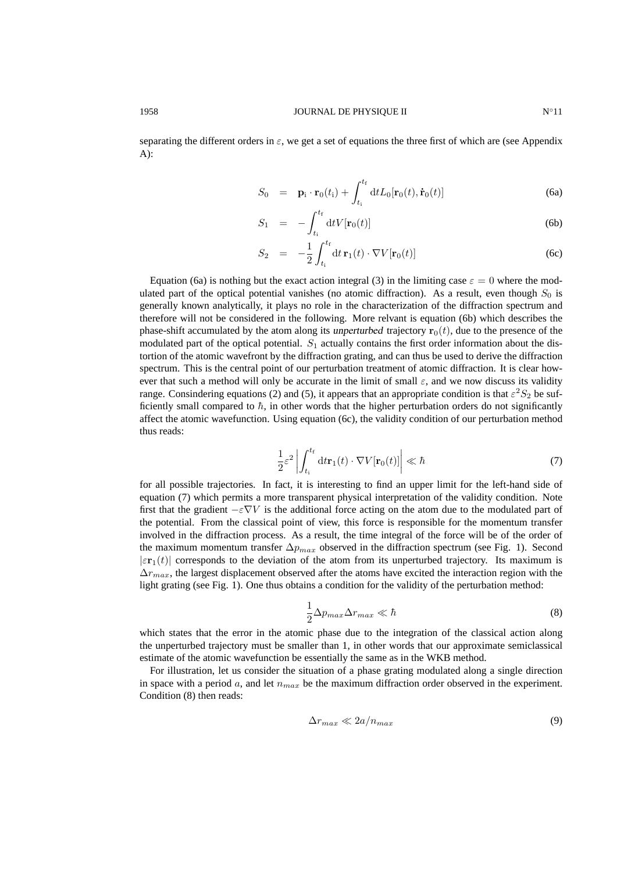separating the different orders in  $\varepsilon$ , we get a set of equations the three first of which are (see Appendix A):

$$
S_0 = \mathbf{p}_i \cdot \mathbf{r}_0(t_i) + \int_{t_i}^{t_f} dt L_0[\mathbf{r}_0(t), \dot{\mathbf{r}}_0(t)] \tag{6a}
$$

$$
S_1 = -\int_{t_1}^{t_f} dt V[\mathbf{r}_0(t)] \tag{6b}
$$

$$
S_2 = -\frac{1}{2} \int_{t_1}^{t_f} dt \, \mathbf{r}_1(t) \cdot \nabla V[\mathbf{r}_0(t)] \tag{6c}
$$

Equation (6a) is nothing but the exact action integral (3) in the limiting case  $\varepsilon = 0$  where the modulated part of the optical potential vanishes (no atomic diffraction). As a result, even though  $S_0$  is generally known analytically, it plays no role in the characterization of the diffraction spectrum and therefore will not be considered in the following. More relvant is equation (6b) which describes the phase-shift accumulated by the atom along its unperturbed trajectory  $\mathbf{r}_0(t)$ , due to the presence of the modulated part of the optical potential.  $S_1$  actually contains the first order information about the distortion of the atomic wavefront by the diffraction grating, and can thus be used to derive the diffraction spectrum. This is the central point of our perturbation treatment of atomic diffraction. It is clear however that such a method will only be accurate in the limit of small  $\varepsilon$ , and we now discuss its validity range. Consindering equations (2) and (5), it appears that an appropriate condition is that  $\varepsilon^2 S_2$  be sufficiently small compared to  $\hbar$ , in other words that the higher perturbation orders do not significantly affect the atomic wavefunction. Using equation (6c), the validity condition of our perturbation method thus reads:

$$
\frac{1}{2}\varepsilon^2 \left| \int_{t_i}^{t_f} dt \mathbf{r}_1(t) \cdot \nabla V[\mathbf{r}_0(t)] \right| \ll \hbar \tag{7}
$$

for all possible trajectories. In fact, it is interesting to find an upper limit for the left-hand side of equation (7) which permits a more transparent physical interpretation of the validity condition. Note first that the gradient  $-\varepsilon \nabla V$  is the additional force acting on the atom due to the modulated part of the potential. From the classical point of view, this force is responsible for the momentum transfer involved in the diffraction process. As a result, the time integral of the force will be of the order of the maximum momentum transfer  $\Delta p_{max}$  observed in the diffraction spectrum (see Fig. 1). Second  $|\varepsilon \mathbf{r}_1(t)|$  corresponds to the deviation of the atom from its unperturbed trajectory. Its maximum is  $\Delta r_{max}$ , the largest displacement observed after the atoms have excited the interaction region with the light grating (see Fig. 1). One thus obtains a condition for the validity of the perturbation method:

$$
\frac{1}{2}\Delta p_{max}\Delta r_{max} \ll \hbar \tag{8}
$$

which states that the error in the atomic phase due to the integration of the classical action along the unperturbed trajectory must be smaller than 1, in other words that our approximate semiclassical estimate of the atomic wavefunction be essentially the same as in the WKB method.

For illustration, let us consider the situation of a phase grating modulated along a single direction in space with a period a, and let  $n_{max}$  be the maximum diffraction order observed in the experiment. Condition (8) then reads:

$$
\Delta r_{max} \ll 2a/n_{max} \tag{9}
$$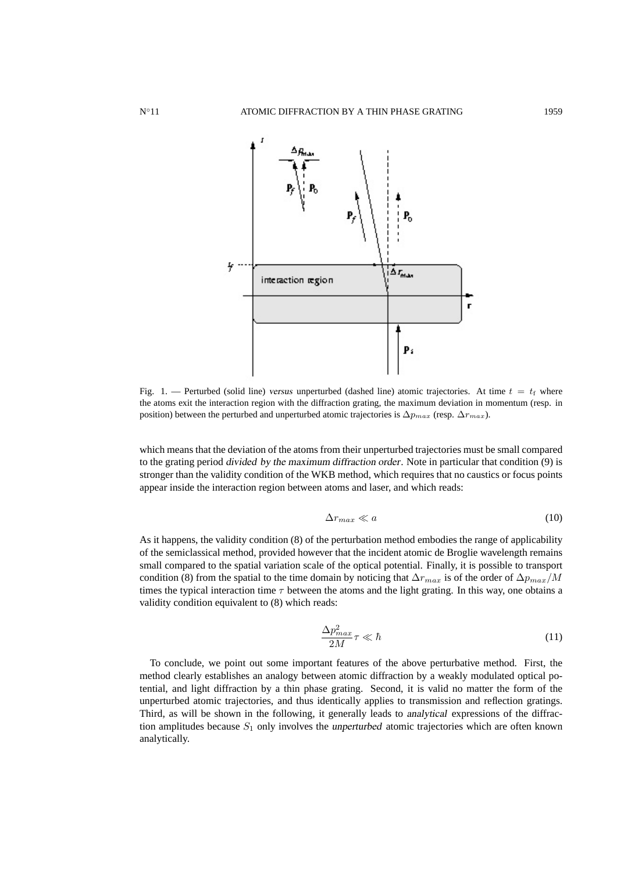

Fig. 1. — Perturbed (solid line) versus unperturbed (dashed line) atomic trajectories. At time  $t = t_f$  where the atoms exit the interaction region with the diffraction grating, the maximum deviation in momentum (resp. in position) between the perturbed and unperturbed atomic trajectories is  $\Delta p_{max}$  (resp.  $\Delta r_{max}$ ).

which means that the deviation of the atoms from their unperturbed trajectories must be small compared to the grating period divided by the maximum diffraction order. Note in particular that condition (9) is stronger than the validity condition of the WKB method, which requires that no caustics or focus points appear inside the interaction region between atoms and laser, and which reads:

$$
\Delta r_{max} \ll a \tag{10}
$$

As it happens, the validity condition (8) of the perturbation method embodies the range of applicability of the semiclassical method, provided however that the incident atomic de Broglie wavelength remains small compared to the spatial variation scale of the optical potential. Finally, it is possible to transport condition (8) from the spatial to the time domain by noticing that  $\Delta r_{max}$  is of the order of  $\Delta p_{max}/M$ times the typical interaction time  $\tau$  between the atoms and the light grating. In this way, one obtains a validity condition equivalent to (8) which reads:

$$
\frac{\Delta p_{max}^2}{2M}\tau \ll \hbar \tag{11}
$$

To conclude, we point out some important features of the above perturbative method. First, the method clearly establishes an analogy between atomic diffraction by a weakly modulated optical potential, and light diffraction by a thin phase grating. Second, it is valid no matter the form of the unperturbed atomic trajectories, and thus identically applies to transmission and reflection gratings. Third, as will be shown in the following, it generally leads to analytical expressions of the diffraction amplitudes because  $S_1$  only involves the unperturbed atomic trajectories which are often known analytically.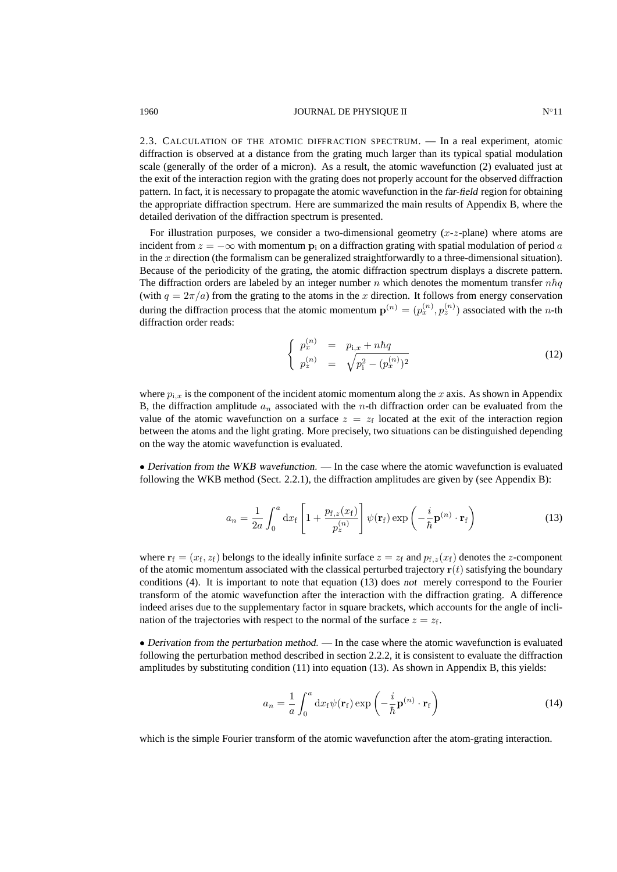#### 1960 **IOURNAL DE PHYSIQUE II** N∘11

2.3. CALCULATION OF THE ATOMIC DIFFRACTION SPECTRUM. — In a real experiment, atomic diffraction is observed at a distance from the grating much larger than its typical spatial modulation scale (generally of the order of a micron). As a result, the atomic wavefunction (2) evaluated just at the exit of the interaction region with the grating does not properly account for the observed diffraction pattern. In fact, it is necessary to propagate the atomic wavefunction in the far-field region for obtaining the appropriate diffraction spectrum. Here are summarized the main results of Appendix B, where the detailed derivation of the diffraction spectrum is presented.

For illustration purposes, we consider a two-dimensional geometry  $(x-z)$  plane) where atoms are incident from  $z = -\infty$  with momentum  $p_i$  on a diffraction grating with spatial modulation of period a in the x direction (the formalism can be generalized straightforwardly to a three-dimensional situation). Because of the periodicity of the grating, the atomic diffraction spectrum displays a discrete pattern. The diffraction orders are labeled by an integer number n which denotes the momentum transfer  $n\hbar q$ (with  $q = 2\pi/a$ ) from the grating to the atoms in the x direction. It follows from energy conservation during the diffraction process that the atomic momentum  $\mathbf{p}^{(n)} = (p_x^{(n)}, p_z^{(n)})$  associated with the *n*-th diffraction order reads:

$$
\begin{cases}\n p_x^{(n)} = p_{i,x} + n\hbar q \\
 p_z^{(n)} = \sqrt{p_i^2 - (p_x^{(n)})^2}\n\end{cases}
$$
\n(12)

where  $p_{i,x}$  is the component of the incident atomic momentum along the x axis. As shown in Appendix B, the diffraction amplitude  $a_n$  associated with the *n*-th diffraction order can be evaluated from the value of the atomic wavefunction on a surface  $z = z_f$  located at the exit of the interaction region between the atoms and the light grating. More precisely, two situations can be distinguished depending on the way the atomic wavefunction is evaluated.

• Derivation from the WKB wavefunction. — In the case where the atomic wavefunction is evaluated following the WKB method (Sect. 2.2.1), the diffraction amplitudes are given by (see Appendix B):

$$
a_n = \frac{1}{2a} \int_0^a dx_f \left[ 1 + \frac{p_{\rm f,z}(x_{\rm f})}{p_z^{(n)}} \right] \psi(\mathbf{r}_{\rm f}) \exp\left(-\frac{i}{\hbar} \mathbf{p}^{(n)} \cdot \mathbf{r}_{\rm f}\right)
$$
(13)

where  $\mathbf{r}_f = (x_f, z_f)$  belongs to the ideally infinite surface  $z = z_f$  and  $p_{f,z}(x_f)$  denotes the z-component of the atomic momentum associated with the classical perturbed trajectory  $r(t)$  satisfying the boundary conditions (4). It is important to note that equation (13) does not merely correspond to the Fourier transform of the atomic wavefunction after the interaction with the diffraction grating. A difference indeed arises due to the supplementary factor in square brackets, which accounts for the angle of inclination of the trajectories with respect to the normal of the surface  $z = z_f$ .

• Derivation from the perturbation method. — In the case where the atomic wavefunction is evaluated following the perturbation method described in section 2.2.2, it is consistent to evaluate the diffraction amplitudes by substituting condition  $(11)$  into equation  $(13)$ . As shown in Appendix B, this yields:

$$
a_n = \frac{1}{a} \int_0^a \mathrm{d}x_f \psi(\mathbf{r}_f) \exp\left(-\frac{i}{\hbar} \mathbf{p}^{(n)} \cdot \mathbf{r}_f\right) \tag{14}
$$

which is the simple Fourier transform of the atomic wavefunction after the atom-grating interaction.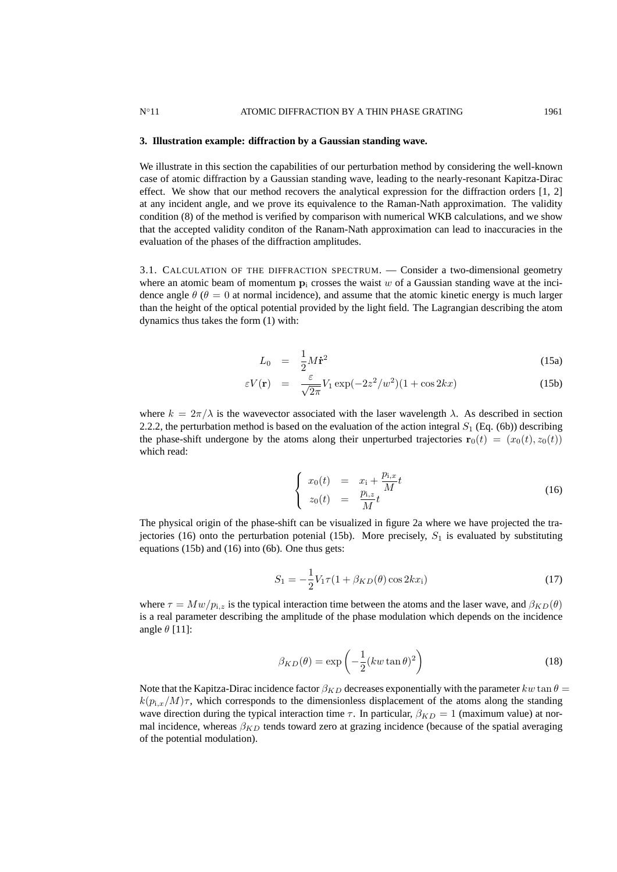#### **3. Illustration example: diffraction by a Gaussian standing wave.**

We illustrate in this section the capabilities of our perturbation method by considering the well-known case of atomic diffraction by a Gaussian standing wave, leading to the nearly-resonant Kapitza-Dirac effect. We show that our method recovers the analytical expression for the diffraction orders [1, 2] at any incident angle, and we prove its equivalence to the Raman-Nath approximation. The validity condition (8) of the method is verified by comparison with numerical WKB calculations, and we show that the accepted validity conditon of the Ranam-Nath approximation can lead to inaccuracies in the evaluation of the phases of the diffraction amplitudes.

3.1. CALCULATION OF THE DIFFRACTION SPECTRUM. — Consider a two-dimensional geometry where an atomic beam of momentum  $\mathbf{p}_i$  crosses the waist w of a Gaussian standing wave at the incidence angle  $\theta$  ( $\theta = 0$  at normal incidence), and assume that the atomic kinetic energy is much larger than the height of the optical potential provided by the light field. The Lagrangian describing the atom dynamics thus takes the form (1) with:

$$
L_0 = \frac{1}{2}M\dot{\mathbf{r}}^2 \tag{15a}
$$

$$
\varepsilon V(\mathbf{r}) = \frac{\varepsilon}{\sqrt{2\pi}} V_1 \exp(-2z^2/w^2)(1+\cos 2kx)
$$
 (15b)

where  $k = 2\pi/\lambda$  is the wavevector associated with the laser wavelength  $\lambda$ . As described in section 2.2.2, the perturbation method is based on the evaluation of the action integral  $S_1$  (Eq. (6b)) describing the phase-shift undergone by the atoms along their unperturbed trajectories  $\mathbf{r}_0(t) = (x_0(t), z_0(t))$ which read:

$$
\begin{cases}\nx_0(t) = x_1 + \frac{p_{1,x}}{M}t \\
z_0(t) = \frac{p_{1,z}}{M}t\n\end{cases}
$$
\n(16)

The physical origin of the phase-shift can be visualized in figure 2a where we have projected the trajectories (16) onto the perturbation potenial (15b). More precisely,  $S_1$  is evaluated by substituting equations (15b) and (16) into (6b). One thus gets:

$$
S_1 = -\frac{1}{2} V_1 \tau (1 + \beta_{KD}(\theta) \cos 2kx_1)
$$
 (17)

where  $\tau = Mw/p_{i,z}$  is the typical interaction time between the atoms and the laser wave, and  $\beta_{KD}(\theta)$ is a real parameter describing the amplitude of the phase modulation which depends on the incidence angle  $\theta$  [11]:

$$
\beta_{KD}(\theta) = \exp\left(-\frac{1}{2}(kw\tan\theta)^2\right) \tag{18}
$$

Note that the Kapitza-Dirac incidence factor  $\beta_{KD}$  decreases exponentially with the parameter kw tan  $\theta =$  $k(p_{1,x}/M)\tau$ , which corresponds to the dimensionless displacement of the atoms along the standing wave direction during the typical interaction time  $\tau$ . In particular,  $\beta_{KD} = 1$  (maximum value) at normal incidence, whereas  $\beta_{KD}$  tends toward zero at grazing incidence (because of the spatial averaging of the potential modulation).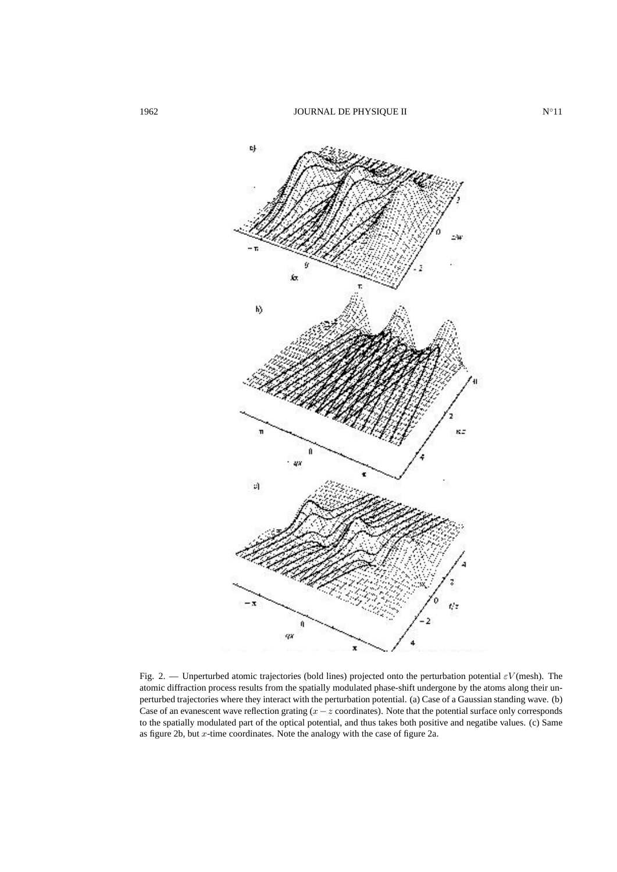

Fig. 2. — Unperturbed atomic trajectories (bold lines) projected onto the perturbation potential  $\varepsilon V$ (mesh). The atomic diffraction process results from the spatially modulated phase-shift undergone by the atoms along their unperturbed trajectories where they interact with the perturbation potential. (a) Case of a Gaussian standing wave. (b) Case of an evanescent wave reflection grating  $(x-z)$  coordinates). Note that the potential surface only corresponds to the spatially modulated part of the optical potential, and thus takes both positive and negatibe values. (c) Same as figure 2b, but  $x$ -time coordinates. Note the analogy with the case of figure 2a.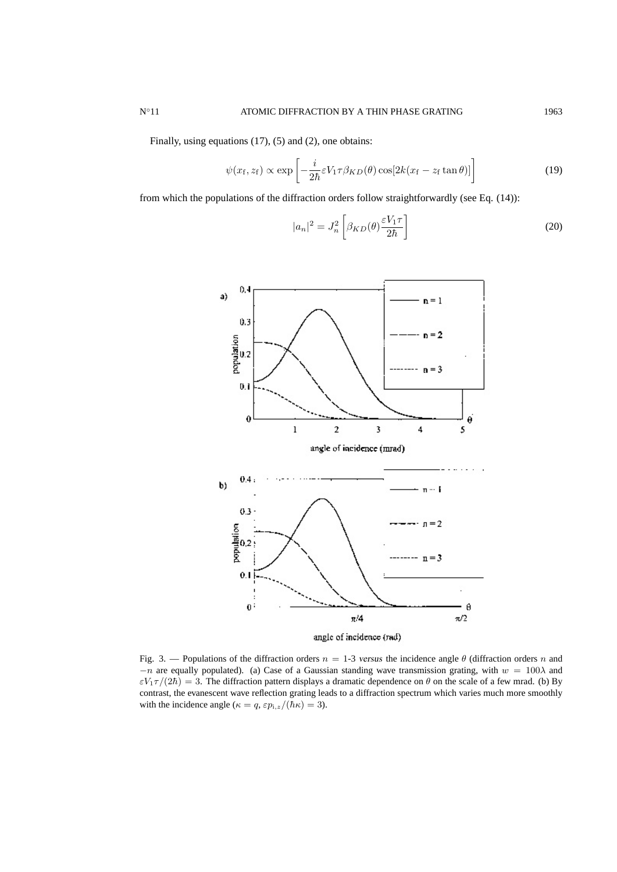Finally, using equations (17), (5) and (2), one obtains:

$$
\psi(x_{\rm f}, z_{\rm f}) \propto \exp\left[-\frac{i}{2\hbar} \varepsilon V_1 \tau \beta_{KD}(\theta) \cos[2k(x_{\rm f} - z_{\rm f} \tan \theta)]\right]
$$
(19)

from which the populations of the diffraction orders follow straightforwardly (see Eq. (14)):

$$
|a_n|^2 = J_n^2 \left[ \beta_{KD}(\theta) \frac{\varepsilon V_1 \tau}{2\hbar} \right]
$$
 (20)



Fig. 3. — Populations of the diffraction orders  $n = 1$ -3 versus the incidence angle  $\theta$  (diffraction orders n and  $-n$  are equally populated). (a) Case of a Gaussian standing wave transmission grating, with  $w = 100\lambda$  and  $\varepsilon V_1 \tau/(2\hbar) = 3$ . The diffraction pattern displays a dramatic dependence on  $\theta$  on the scale of a few mrad. (b) By contrast, the evanescent wave reflection grating leads to a diffraction spectrum which varies much more smoothly with the incidence angle ( $\kappa = q$ ,  $\varepsilon p_{i,z}/(\hbar \kappa) = 3$ ).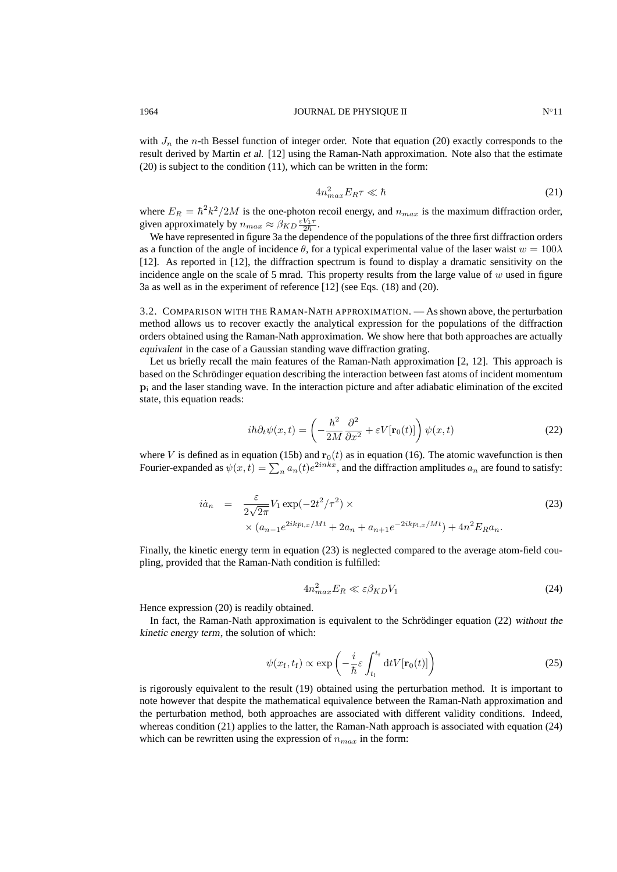with  $J_n$  the n-th Bessel function of integer order. Note that equation (20) exactly corresponds to the result derived by Martin et al. [12] using the Raman-Nath approximation. Note also that the estimate (20) is subject to the condition (11), which can be written in the form:

$$
4n_{max}^2 E_R \tau \ll \hbar \tag{21}
$$

where  $E_R = \hbar^2 k^2 / 2M$  is the one-photon recoil energy, and  $n_{max}$  is the maximum diffraction order, given approximately by  $n_{max} \approx \beta_{KD} \frac{\varepsilon V_1 \tau}{2 \hbar}$ .

We have represented in figure 3a the dependence of the populations of the three first diffraction orders as a function of the angle of incidence  $\theta$ , for a typical experimental value of the laser waist  $w = 100\lambda$ [12]. As reported in [12], the diffraction spectrum is found to display a dramatic sensitivity on the incidence angle on the scale of 5 mrad. This property results from the large value of  $w$  used in figure 3a as well as in the experiment of reference [12] (see Eqs. (18) and (20).

3.2. COMPARISON WITH THE RAMAN-NATH APPROXIMATION. — As shown above, the perturbation method allows us to recover exactly the analytical expression for the populations of the diffraction orders obtained using the Raman-Nath approximation. We show here that both approaches are actually equivalent in the case of a Gaussian standing wave diffraction grating.

Let us briefly recall the main features of the Raman-Nath approximation [2, 12]. This approach is based on the Schrödinger equation describing the interaction between fast atoms of incident momentum  $p_i$  and the laser standing wave. In the interaction picture and after adiabatic elimination of the excited state, this equation reads:

$$
i\hbar \partial_t \psi(x,t) = \left(-\frac{\hbar^2}{2M} \frac{\partial^2}{\partial x^2} + \varepsilon V[\mathbf{r}_0(t)]\right) \psi(x,t)
$$
 (22)

where V is defined as in equation (15b) and  $\mathbf{r}_0(t)$  as in equation (16). The atomic wavefunction is then Fourier-expanded as  $\psi(x,t) = \sum_n a_n(t)e^{2inkx}$ , and the diffraction amplitudes  $a_n$  are found to satisfy:

$$
\begin{split} i\dot{a}_n &= \frac{\varepsilon}{2\sqrt{2\pi}} V_1 \exp(-2t^2/\tau^2) \times \\ &\times (a_{n-1}e^{2ikp_{i,x}/Mt} + 2a_n + a_{n+1}e^{-2ikp_{i,x}/Mt}) + 4n^2 E_R a_n. \end{split} \tag{23}
$$

Finally, the kinetic energy term in equation (23) is neglected compared to the average atom-field coupling, provided that the Raman-Nath condition is fulfilled:

$$
4n_{max}^2 E_R \ll \varepsilon \beta_{KD} V_1 \tag{24}
$$

Hence expression (20) is readily obtained.

In fact, the Raman-Nath approximation is equivalent to the Schrödinger equation (22) without the kinetic energy term, the solution of which:

$$
\psi(x_{\rm f}, t_{\rm f}) \propto \exp\left(-\frac{i}{\hbar} \varepsilon \int_{t_{\rm i}}^{t_{\rm f}} dt V[\mathbf{r}_0(t)]\right) \tag{25}
$$

is rigorously equivalent to the result (19) obtained using the perturbation method. It is important to note however that despite the mathematical equivalence between the Raman-Nath approximation and the perturbation method, both approaches are associated with different validity conditions. Indeed, whereas condition (21) applies to the latter, the Raman-Nath approach is associated with equation (24) which can be rewritten using the expression of  $n_{max}$  in the form: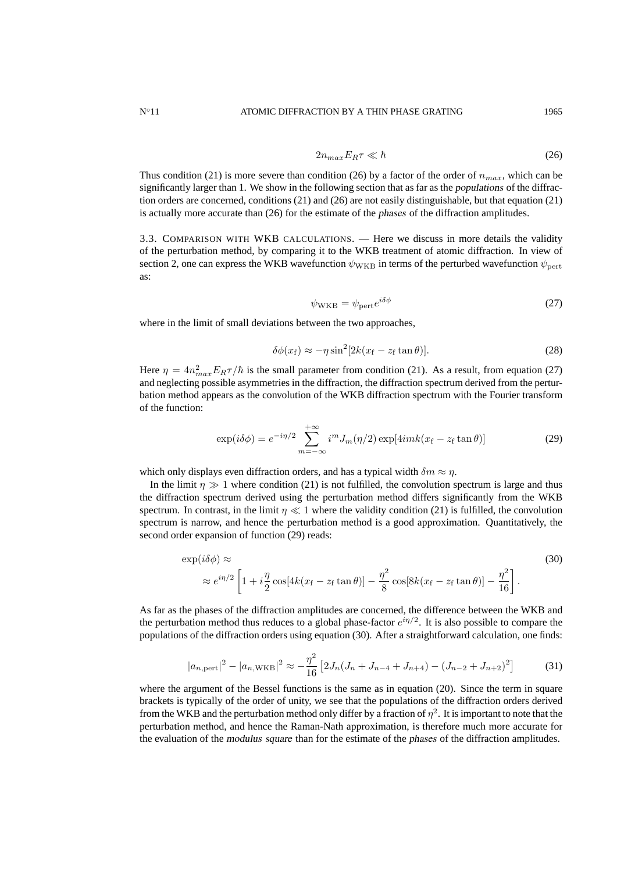$$
2n_{max}E_R\tau \ll \hbar \tag{26}
$$

Thus condition (21) is more severe than condition (26) by a factor of the order of  $n_{max}$ , which can be significantly larger than 1. We show in the following section that as far as the populations of the diffraction orders are concerned, conditions (21) and (26) are not easily distinguishable, but that equation (21) is actually more accurate than (26) for the estimate of the phases of the diffraction amplitudes.

3.3. COMPARISON WITH WKB CALCULATIONS. — Here we discuss in more details the validity of the perturbation method, by comparing it to the WKB treatment of atomic diffraction. In view of section 2, one can express the WKB wavefunction  $\psi_{\text{WKB}}$  in terms of the perturbed wavefunction  $\psi_{\text{pert}}$ as:

$$
\psi_{\rm WKB} = \psi_{\rm pert} e^{i\delta\phi} \tag{27}
$$

where in the limit of small deviations between the two approaches,

$$
\delta\phi(x_{\rm f}) \approx -\eta\sin^2[2k(x_{\rm f} - z_{\rm f}\tan\theta)].\tag{28}
$$

Here  $\eta = 4n_{max}^2 E_R \tau / \hbar$  is the small parameter from condition (21). As a result, from equation (27) and neglecting possible asymmetries in the diffraction, the diffraction spectrum derived from the perturbation method appears as the convolution of the WKB diffraction spectrum with the Fourier transform of the function:

$$
\exp(i\delta\phi) = e^{-i\eta/2} \sum_{m=-\infty}^{+\infty} i^m J_m(\eta/2) \exp[4imk(x_f - z_f \tan \theta)] \tag{29}
$$

which only displays even diffraction orders, and has a typical width  $\delta m \approx \eta$ .

In the limit  $\eta \gg 1$  where condition (21) is not fulfilled, the convolution spectrum is large and thus the diffraction spectrum derived using the perturbation method differs significantly from the WKB spectrum. In contrast, in the limit  $\eta \ll 1$  where the validity condition (21) is fulfilled, the convolution spectrum is narrow, and hence the perturbation method is a good approximation. Quantitatively, the second order expansion of function (29) reads:

$$
\exp(i\delta\phi) \approx \exp(i\delta\phi) \approx \left[1 + i\frac{\eta}{2}\cos[4k(x_f - z_f\tan\theta)] - \frac{\eta^2}{8}\cos[8k(x_f - z_f\tan\theta)] - \frac{\eta^2}{16}\right].
$$
\n(30)

As far as the phases of the diffraction amplitudes are concerned, the difference between the WKB and the perturbation method thus reduces to a global phase-factor  $e^{i\eta/2}$ . It is also possible to compare the populations of the diffraction orders using equation (30). After a straightforward calculation, one finds:

$$
|a_{n,\text{pert}}|^2 - |a_{n,\text{WKB}}|^2 \approx -\frac{\eta^2}{16} \left[ 2J_n(J_n + J_{n-4} + J_{n+4}) - (J_{n-2} + J_{n+2})^2 \right] \tag{31}
$$

where the argument of the Bessel functions is the same as in equation (20). Since the term in square brackets is typically of the order of unity, we see that the populations of the diffraction orders derived from the WKB and the perturbation method only differ by a fraction of  $\eta^2$ . It is important to note that the perturbation method, and hence the Raman-Nath approximation, is therefore much more accurate for the evaluation of the modulus square than for the estimate of the phases of the diffraction amplitudes.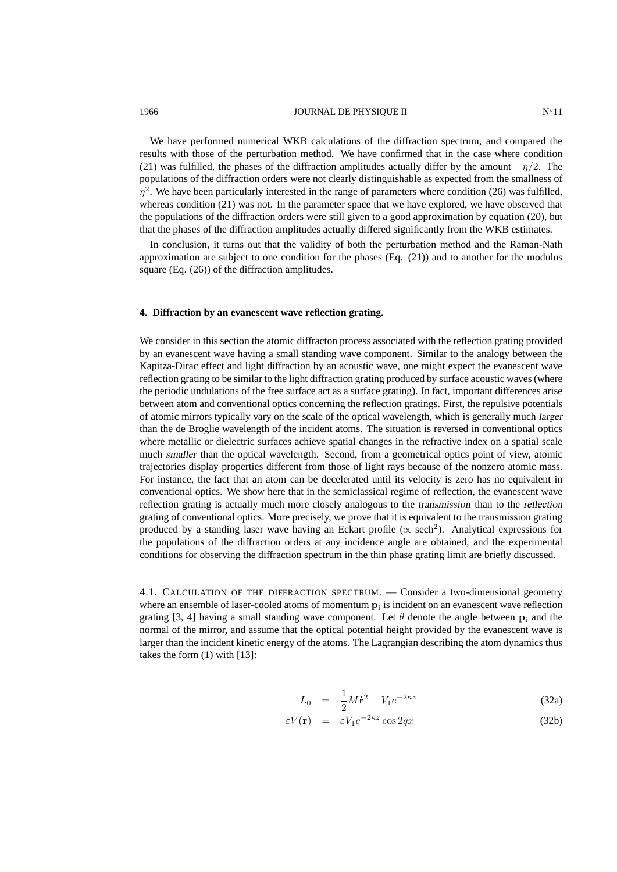# 1966 **IOURNAL DE PHYSIQUE II** N°11

We have performed numerical WKB calculations of the diffraction spectrum, and compared the results with those of the perturbation method. We have confirmed that in the case where condition (21) was fulfilled, the phases of the diffraction amplitudes actually differ by the amount  $-\eta/2$ . The populations of the diffraction orders were not clearly distinguishable as expected from the smallness of  $\eta^2$ . We have been particularly interested in the range of parameters where condition (26) was fulfilled, whereas condition (21) was not. In the parameter space that we have explored, we have observed that the populations of the diffraction orders were still given to a good approximation by equation (20), but that the phases of the diffraction amplitudes actually differed significantly from the WKB estimates.

In conclusion, it turns out that the validity of both the perturbation method and the Raman-Nath approximation are subject to one condition for the phases (Eq. (21)) and to another for the modulus square (Eq. (26)) of the diffraction amplitudes.

#### **4. Diffraction by an evanescent wave reflection grating.**

We consider in this section the atomic diffracton process associated with the reflection grating provided by an evanescent wave having a small standing wave component. Similar to the analogy between the Kapitza-Dirac effect and light diffraction by an acoustic wave, one might expect the evanescent wave reflection grating to be similar to the light diffraction grating produced by surface acoustic waves (where the periodic undulations of the free surface act as a surface grating). In fact, important differences arise between atom and conventional optics concerning the reflection gratings. First, the repulsive potentials of atomic mirrors typically vary on the scale of the optical wavelength, which is generally much larger than the de Broglie wavelength of the incident atoms. The situation is reversed in conventional optics where metallic or dielectric surfaces achieve spatial changes in the refractive index on a spatial scale much smaller than the optical wavelength. Second, from a geometrical optics point of view, atomic trajectories display properties different from those of light rays because of the nonzero atomic mass. For instance, the fact that an atom can be decelerated until its velocity is zero has no equivalent in conventional optics. We show here that in the semiclassical regime of reflection, the evanescent wave reflection grating is actually much more closely analogous to the transmission than to the reflection grating of conventional optics. More precisely, we prove that it is equivalent to the transmission grating produced by a standing laser wave having an Eckart profile ( $\propto$  sech<sup>2</sup>). Analytical expressions for the populations of the diffraction orders at any incidence angle are obtained, and the experimental conditions for observing the diffraction spectrum in the thin phase grating limit are briefly discussed.

4.1. CALCULATION OF THE DIFFRACTION SPECTRUM. — Consider a two-dimensional geometry where an ensemble of laser-cooled atoms of momentum  $p_i$  is incident on an evanescent wave reflection grating [3, 4] having a small standing wave component. Let  $\theta$  denote the angle between  $p_i$  and the normal of the mirror, and assume that the optical potential height provided by the evanescent wave is larger than the incident kinetic energy of the atoms. The Lagrangian describing the atom dynamics thus takes the form (1) with [13]:

$$
L_0 = \frac{1}{2}M\dot{\mathbf{r}}^2 - V_1e^{-2\kappa z}
$$
 (32a)

$$
\varepsilon V(\mathbf{r}) = \varepsilon V_1 e^{-2\kappa z} \cos 2qx \tag{32b}
$$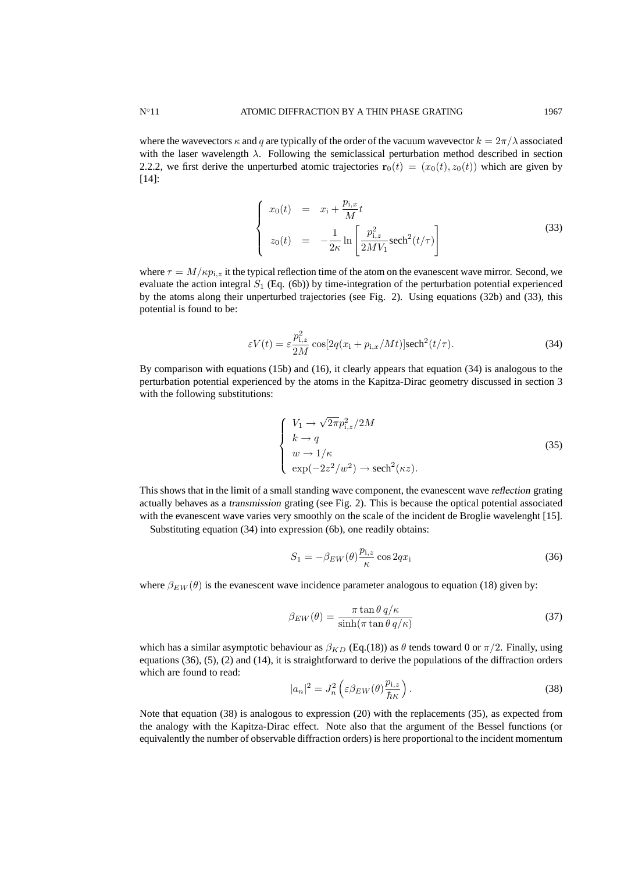where the wavevectors  $\kappa$  and q are typically of the order of the vacuum wavevector  $k = 2\pi/\lambda$  associated with the laser wavelength  $\lambda$ . Following the semiclassical perturbation method described in section 2.2.2, we first derive the unperturbed atomic trajectories  $\mathbf{r}_0(t) = (x_0(t), z_0(t))$  which are given by [14]:

$$
\begin{cases}\nx_0(t) = x_1 + \frac{p_{i,x}}{M}t \\
z_0(t) = -\frac{1}{2\kappa} \ln\left[\frac{p_{i,z}^2}{2MV_1}\text{sech}^2(t/\tau)\right]\n\end{cases}
$$
\n(33)

where  $\tau = M/\kappa p_{i,z}$  it the typical reflection time of the atom on the evanescent wave mirror. Second, we evaluate the action integral  $S_1$  (Eq. (6b)) by time-integration of the perturbation potential experienced by the atoms along their unperturbed trajectories (see Fig. 2). Using equations (32b) and (33), this potential is found to be:

$$
\varepsilon V(t) = \varepsilon \frac{p_{i,z}^2}{2M} \cos[2q(x_i + p_{i,x}/Mt)] \operatorname{sech}^2(t/\tau). \tag{34}
$$

By comparison with equations (15b) and (16), it clearly appears that equation (34) is analogous to the perturbation potential experienced by the atoms in the Kapitza-Dirac geometry discussed in section 3 with the following substitutions:

$$
\begin{cases}\nV_1 \to \sqrt{2\pi} p_{i,z}^2 / 2M \\
k \to q \\
w \to 1/\kappa \\
\exp(-2z^2/w^2) \to \operatorname{sech}^2(\kappa z).\n\end{cases}
$$
\n(35)

This shows that in the limit of a small standing wave component, the evanescent wave reflection grating actually behaves as a transmission grating (see Fig. 2). This is because the optical potential associated with the evanescent wave varies very smoothly on the scale of the incident de Broglie wavelenght [15].

Substituting equation (34) into expression (6b), one readily obtains:

$$
S_1 = -\beta_{EW}(\theta) \frac{p_{i,z}}{\kappa} \cos 2qx_i
$$
\n(36)

where  $\beta_{EW}(\theta)$  is the evanescent wave incidence parameter analogous to equation (18) given by:

$$
\beta_{EW}(\theta) = \frac{\pi \tan \theta \, q/\kappa}{\sinh(\pi \tan \theta \, q/\kappa)}
$$
(37)

which has a similar asymptotic behaviour as  $\beta_{KD}$  (Eq.(18)) as  $\theta$  tends toward 0 or  $\pi/2$ . Finally, using equations (36), (5), (2) and (14), it is straightforward to derive the populations of the diffraction orders which are found to read:

$$
|a_n|^2 = J_n^2 \left( \varepsilon \beta_{EW}(\theta) \frac{p_{i,z}}{\hbar \kappa} \right). \tag{38}
$$

Note that equation (38) is analogous to expression (20) with the replacements (35), as expected from the analogy with the Kapitza-Dirac effect. Note also that the argument of the Bessel functions (or equivalently the number of observable diffraction orders) is here proportional to the incident momentum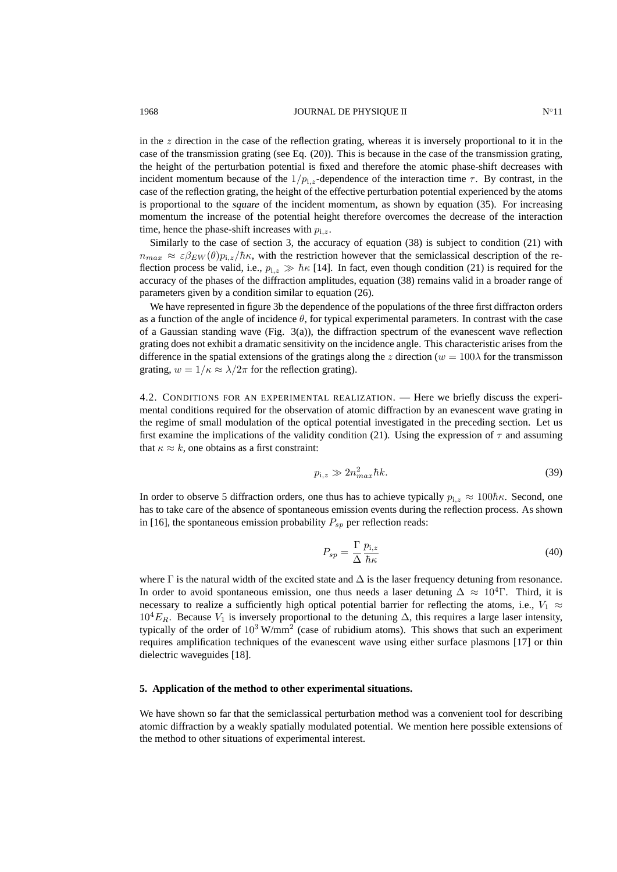#### 1968 **IOURNAL DE PHYSIQUE II** N∘11

in the  $z$  direction in the case of the reflection grating, whereas it is inversely proportional to it in the case of the transmission grating (see Eq. (20)). This is because in the case of the transmission grating, the height of the perturbation potential is fixed and therefore the atomic phase-shift decreases with incident momentum because of the  $1/p_{i,z}$ -dependence of the interaction time  $\tau$ . By contrast, in the case of the reflection grating, the height of the effective perturbation potential experienced by the atoms is proportional to the square of the incident momentum, as shown by equation (35). For increasing momentum the increase of the potential height therefore overcomes the decrease of the interaction time, hence the phase-shift increases with  $p_{i,z}$ .

Similarly to the case of section 3, the accuracy of equation (38) is subject to condition (21) with  $n_{max} \approx \varepsilon \beta_{EW}(\theta) p_{i,z}/\hbar \kappa$ , with the restriction however that the semiclassical description of the reflection process be valid, i.e.,  $p_{i,z} \gg \hbar \kappa$  [14]. In fact, even though condition (21) is required for the accuracy of the phases of the diffraction amplitudes, equation (38) remains valid in a broader range of parameters given by a condition similar to equation (26).

We have represented in figure 3b the dependence of the populations of the three first diffracton orders as a function of the angle of incidence  $\theta$ , for typical experimental parameters. In contrast with the case of a Gaussian standing wave (Fig.  $3(a)$ ), the diffraction spectrum of the evanescent wave reflection grating does not exhibit a dramatic sensitivity on the incidence angle. This characteristic arises from the difference in the spatial extensions of the gratings along the z direction ( $w = 100\lambda$  for the transmisson grating,  $w = 1/\kappa \approx \lambda/2\pi$  for the reflection grating).

4.2. CONDITIONS FOR AN EXPERIMENTAL REALIZATION. — Here we briefly discuss the experimental conditions required for the observation of atomic diffraction by an evanescent wave grating in the regime of small modulation of the optical potential investigated in the preceding section. Let us first examine the implications of the validity condition (21). Using the expression of  $\tau$  and assuming that  $\kappa \approx k$ , one obtains as a first constraint:

$$
p_{i,z} \gg 2n_{max}^2 \hbar k. \tag{39}
$$

In order to observe 5 diffraction orders, one thus has to achieve typically  $p_{i,z} \approx 100\hbar\kappa$ . Second, one has to take care of the absence of spontaneous emission events during the reflection process. As shown in [16], the spontaneous emission probability  $P_{sp}$  per reflection reads:

$$
P_{sp} = \frac{\Gamma}{\Delta} \frac{p_{i,z}}{\hbar \kappa} \tag{40}
$$

where  $\Gamma$  is the natural width of the excited state and  $\Delta$  is the laser frequency detuning from resonance. In order to avoid spontaneous emission, one thus needs a laser detuning  $\Delta \approx 10^4$ . Third, it is necessary to realize a sufficiently high optical potential barrier for reflecting the atoms, i.e.,  $V_1 \approx$  $10^4E_R$ . Because  $V_1$  is inversely proportional to the detuning  $\Delta$ , this requires a large laser intensity, typically of the order of  $10^3$  W/mm<sup>2</sup> (case of rubidium atoms). This shows that such an experiment requires amplification techniques of the evanescent wave using either surface plasmons [17] or thin dielectric waveguides [18].

#### **5. Application of the method to other experimental situations.**

We have shown so far that the semiclassical perturbation method was a convenient tool for describing atomic diffraction by a weakly spatially modulated potential. We mention here possible extensions of the method to other situations of experimental interest.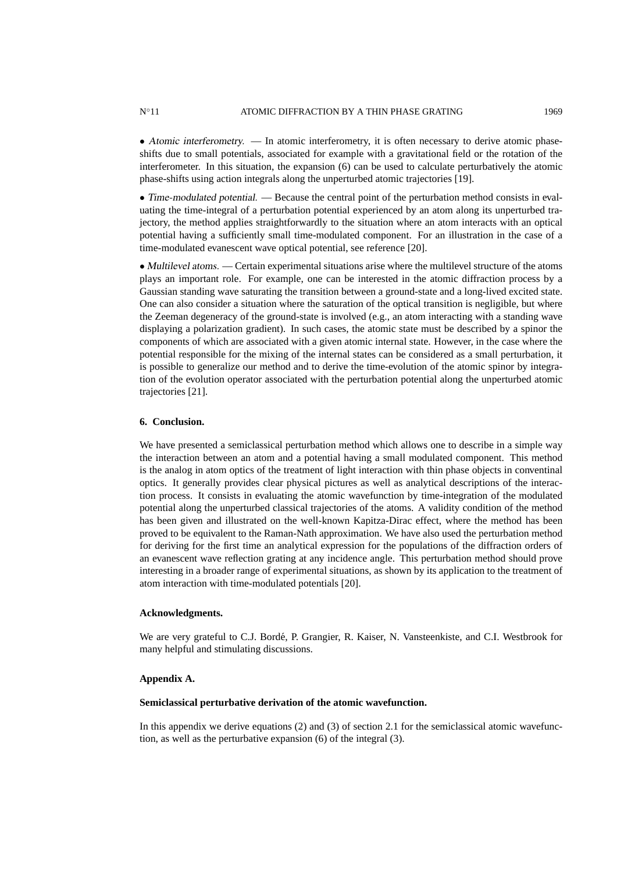• Atomic interferometry. — In atomic interferometry, it is often necessary to derive atomic phaseshifts due to small potentials, associated for example with a gravitational field or the rotation of the interferometer. In this situation, the expansion (6) can be used to calculate perturbatively the atomic phase-shifts using action integrals along the unperturbed atomic trajectories [19].

• Time-modulated potential. — Because the central point of the perturbation method consists in evaluating the time-integral of a perturbation potential experienced by an atom along its unperturbed trajectory, the method applies straightforwardly to the situation where an atom interacts with an optical potential having a sufficiently small time-modulated component. For an illustration in the case of a time-modulated evanescent wave optical potential, see reference [20].

• Multilevel atoms. — Certain experimental situations arise where the multilevel structure of the atoms plays an important role. For example, one can be interested in the atomic diffraction process by a Gaussian standing wave saturating the transition between a ground-state and a long-lived excited state. One can also consider a situation where the saturation of the optical transition is negligible, but where the Zeeman degeneracy of the ground-state is involved (e.g., an atom interacting with a standing wave displaying a polarization gradient). In such cases, the atomic state must be described by a spinor the components of which are associated with a given atomic internal state. However, in the case where the potential responsible for the mixing of the internal states can be considered as a small perturbation, it is possible to generalize our method and to derive the time-evolution of the atomic spinor by integration of the evolution operator associated with the perturbation potential along the unperturbed atomic trajectories [21].

### **6. Conclusion.**

We have presented a semiclassical perturbation method which allows one to describe in a simple way the interaction between an atom and a potential having a small modulated component. This method is the analog in atom optics of the treatment of light interaction with thin phase objects in conventinal optics. It generally provides clear physical pictures as well as analytical descriptions of the interaction process. It consists in evaluating the atomic wavefunction by time-integration of the modulated potential along the unperturbed classical trajectories of the atoms. A validity condition of the method has been given and illustrated on the well-known Kapitza-Dirac effect, where the method has been proved to be equivalent to the Raman-Nath approximation. We have also used the perturbation method for deriving for the first time an analytical expression for the populations of the diffraction orders of an evanescent wave reflection grating at any incidence angle. This perturbation method should prove interesting in a broader range of experimental situations, as shown by its application to the treatment of atom interaction with time-modulated potentials [20].

### **Acknowledgments.**

We are very grateful to C.J. Borde, P. Grangier, R. Kaiser, N. Vansteenkiste, and C.I. Westbrook for ´ many helpful and stimulating discussions.

#### **Appendix A.**

#### **Semiclassical perturbative derivation of the atomic wavefunction.**

In this appendix we derive equations (2) and (3) of section 2.1 for the semiclassical atomic wavefunction, as well as the perturbative expansion (6) of the integral (3).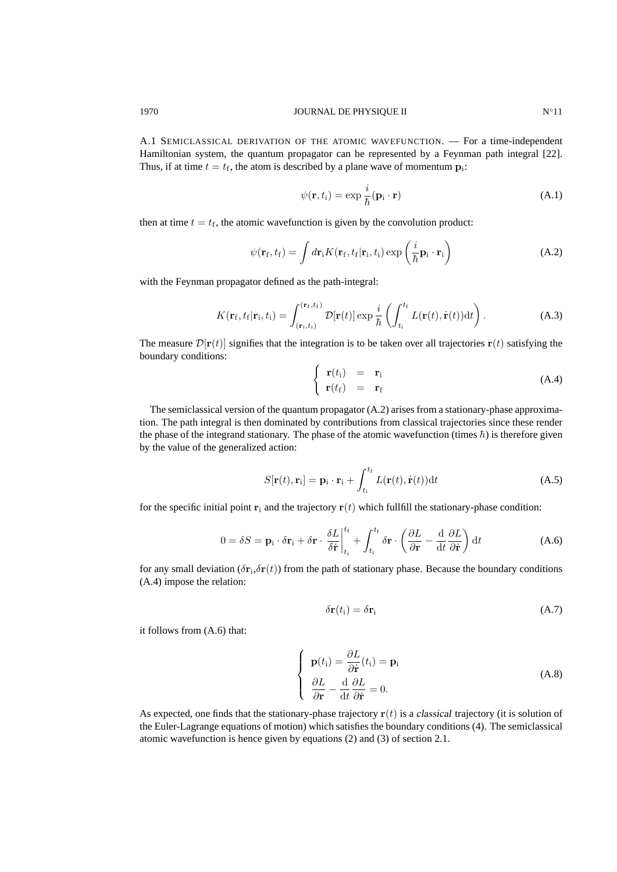A.1 SEMICLASSICAL DERIVATION OF THE ATOMIC WAVEFUNCTION. — For a time-independent Hamiltonian system, the quantum propagator can be represented by a Feynman path integral [22]. Thus, if at time  $t = t_f$ , the atom is described by a plane wave of momentum  $p_i$ :

$$
\psi(\mathbf{r}, t_i) = \exp\frac{i}{\hbar}(\mathbf{p}_i \cdot \mathbf{r})
$$
\n(A.1)

then at time  $t = t_f$ , the atomic wavefunction is given by the convolution product:

$$
\psi(\mathbf{r}_{\rm f},t_{\rm f}) = \int d\mathbf{r}_{\rm i} K(\mathbf{r}_{\rm f},t_{\rm f}|\mathbf{r}_{\rm i},t_{\rm i}) \exp\left(\frac{i}{\hbar}\mathbf{p}_{\rm i}\cdot\mathbf{r}_{\rm i}\right)
$$
(A.2)

with the Feynman propagator defined as the path-integral:

$$
K(\mathbf{r}_{\mathrm{f}}, t_{\mathrm{f}}|\mathbf{r}_{\mathrm{i}}, t_{\mathrm{i}}) = \int_{(\mathbf{r}_{\mathrm{i}}, t_{\mathrm{i}})}^{(\mathbf{r}_{\mathrm{f}}, t_{\mathrm{f}})} \mathcal{D}[\mathbf{r}(t)] \exp \frac{i}{\hbar} \left( \int_{t_{\mathrm{i}}}^{t_{\mathrm{f}}} L(\mathbf{r}(t), \dot{\mathbf{r}}(t)) \mathrm{d}t \right). \tag{A.3}
$$

The measure  $\mathcal{D}[\mathbf{r}(t)]$  signifies that the integration is to be taken over all trajectories  $\mathbf{r}(t)$  satisfying the boundary conditions:

$$
\begin{cases}\n\mathbf{r}(t_i) = \mathbf{r}_i \\
\mathbf{r}(t_f) = \mathbf{r}_f\n\end{cases}
$$
\n(A.4)

The semiclassical version of the quantum propagator (A.2) arises from a stationary-phase approximation. The path integral is then dominated by contributions from classical trajectories since these render the phase of the integrand stationary. The phase of the atomic wavefunction (times  $\hbar$ ) is therefore given by the value of the generalized action:

$$
S[\mathbf{r}(t), \mathbf{r}_i] = \mathbf{p}_i \cdot \mathbf{r}_i + \int_{t_i}^{t_f} L(\mathbf{r}(t), \dot{\mathbf{r}}(t)) dt
$$
 (A.5)

for the specific initial point  $\mathbf{r}_i$  and the trajectory  $\mathbf{r}(t)$  which fullfill the stationary-phase condition:

$$
0 = \delta S = \mathbf{p}_{i} \cdot \delta \mathbf{r}_{i} + \delta \mathbf{r} \cdot \frac{\delta L}{\delta \dot{\mathbf{r}}} \Big|_{t_{i}}^{t_{f}} + \int_{t_{i}}^{t_{f}} \delta \mathbf{r} \cdot \left( \frac{\partial L}{\partial \mathbf{r}} - \frac{\mathrm{d}}{\mathrm{d}t} \frac{\partial L}{\partial \dot{\mathbf{r}}} \right) \mathrm{d}t \tag{A.6}
$$

for any small deviation  $(\delta r_i, \delta r(t))$  from the path of stationary phase. Because the boundary conditions (A.4) impose the relation:

$$
\delta \mathbf{r}(t_i) = \delta \mathbf{r}_i \tag{A.7}
$$

it follows from (A.6) that:

$$
\begin{cases}\n\mathbf{p}(t_i) = \frac{\partial L}{\partial \dot{\mathbf{r}}}(t_i) = \mathbf{p}_i \\
\frac{\partial L}{\partial \mathbf{r}} - \frac{\mathrm{d}}{\mathrm{d}t} \frac{\partial L}{\partial \dot{\mathbf{r}}} = 0.\n\end{cases} (A.8)
$$

As expected, one finds that the stationary-phase trajectory  $r(t)$  is a classical trajectory (it is solution of the Euler-Lagrange equations of motion) which satisfies the boundary conditions (4). The semiclassical atomic wavefunction is hence given by equations (2) and (3) of section 2.1.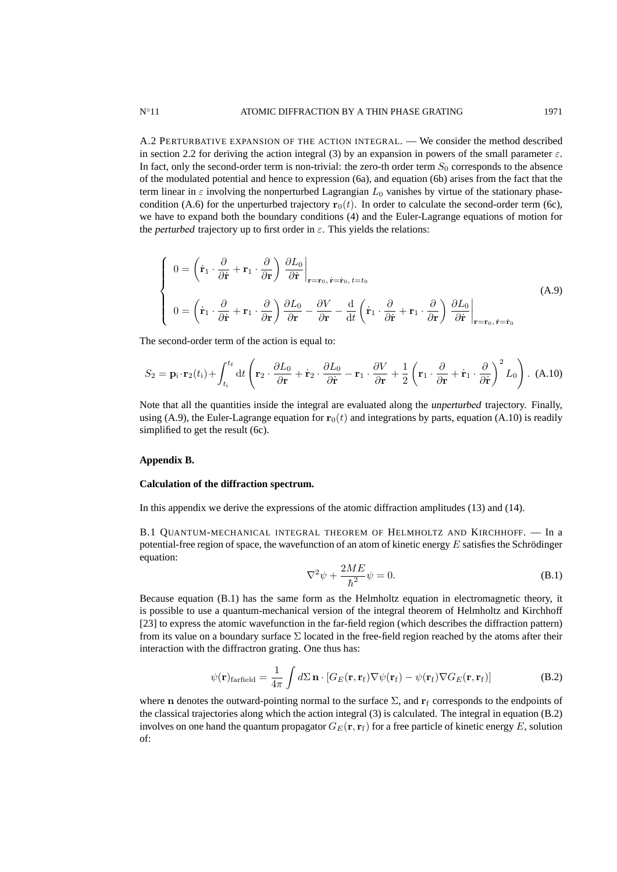A.2 PERTURBATIVE EXPANSION OF THE ACTION INTEGRAL. — We consider the method described in section 2.2 for deriving the action integral (3) by an expansion in powers of the small parameter  $\varepsilon$ . In fact, only the second-order term is non-trivial: the zero-th order term  $S_0$  corresponds to the absence of the modulated potential and hence to expression (6a), and equation (6b) arises from the fact that the term linear in  $\varepsilon$  involving the nonperturbed Lagrangian  $L_0$  vanishes by virtue of the stationary phasecondition (A.6) for the unperturbed trajectory  $\mathbf{r}_0(t)$ . In order to calculate the second-order term (6c), we have to expand both the boundary conditions (4) and the Euler-Lagrange equations of motion for the perturbed trajectory up to first order in  $\varepsilon$ . This yields the relations:

$$
\begin{cases}\n0 = \left(\dot{\mathbf{r}}_1 \cdot \frac{\partial}{\partial \dot{\mathbf{r}}} + \mathbf{r}_1 \cdot \frac{\partial}{\partial \mathbf{r}}\right) \left.\frac{\partial L_0}{\partial \dot{\mathbf{r}}}\right|_{\mathbf{r} = \mathbf{r}_0, \, \dot{\mathbf{r}} = \dot{\mathbf{r}}_0, \, t = t_0} \\
0 = \left(\dot{\mathbf{r}}_1 \cdot \frac{\partial}{\partial \dot{\mathbf{r}}} + \mathbf{r}_1 \cdot \frac{\partial}{\partial \mathbf{r}}\right) \frac{\partial L_0}{\partial \mathbf{r}} - \frac{\partial V}{\partial \mathbf{r}} - \frac{\mathrm{d}}{\mathrm{d}t} \left(\dot{\mathbf{r}}_1 \cdot \frac{\partial}{\partial \dot{\mathbf{r}}} + \mathbf{r}_1 \cdot \frac{\partial}{\partial \mathbf{r}}\right) \left.\frac{\partial L_0}{\partial \dot{\mathbf{r}}}\right|_{\mathbf{r} = \mathbf{r}_0, \, \dot{\mathbf{r}} = \dot{\mathbf{r}}_0}\n\end{cases} \tag{A.9}
$$

The second-order term of the action is equal to:

$$
S_2 = \mathbf{p}_i \cdot \mathbf{r}_2(t_i) + \int_{t_i}^{t_f} dt \left( \mathbf{r}_2 \cdot \frac{\partial L_0}{\partial \mathbf{r}} + \dot{\mathbf{r}}_2 \cdot \frac{\partial L_0}{\partial \dot{\mathbf{r}}} - \mathbf{r}_1 \cdot \frac{\partial V}{\partial \mathbf{r}} + \frac{1}{2} \left( \mathbf{r}_1 \cdot \frac{\partial}{\partial \mathbf{r}} + \dot{\mathbf{r}}_1 \cdot \frac{\partial}{\partial \dot{\mathbf{r}}} \right)^2 L_0 \right). (A.10)
$$

Note that all the quantities inside the integral are evaluated along the unperturbed trajectory. Finally, using (A.9), the Euler-Lagrange equation for  $r_0(t)$  and integrations by parts, equation (A.10) is readily simplified to get the result (6c).

#### **Appendix B.**

#### **Calculation of the diffraction spectrum.**

In this appendix we derive the expressions of the atomic diffraction amplitudes (13) and (14).

B.1 QUANTUM-MECHANICAL INTEGRAL THEOREM OF HELMHOLTZ AND KIRCHHOFF. — In a potential-free region of space, the wavefunction of an atom of kinetic energy  $E$  satisfies the Schrödinger equation:

$$
\nabla^2 \psi + \frac{2ME}{\hbar^2} \psi = 0.
$$
 (B.1)

Because equation (B.1) has the same form as the Helmholtz equation in electromagnetic theory, it is possible to use a quantum-mechanical version of the integral theorem of Helmholtz and Kirchhoff [23] to express the atomic wavefunction in the far-field region (which describes the diffraction pattern) from its value on a boundary surface  $\Sigma$  located in the free-field region reached by the atoms after their interaction with the diffractron grating. One thus has:

$$
\psi(\mathbf{r})_{\text{farfield}} = \frac{1}{4\pi} \int d\Sigma \, \mathbf{n} \cdot [G_E(\mathbf{r}, \mathbf{r}_f) \nabla \psi(\mathbf{r}_f) - \psi(\mathbf{r}_f) \nabla G_E(\mathbf{r}, \mathbf{r}_f)] \tag{B.2}
$$

where n denotes the outward-pointing normal to the surface  $\Sigma$ , and  $\mathbf{r}_f$  corresponds to the endpoints of the classical trajectories along which the action integral (3) is calculated. The integral in equation (B.2) involves on one hand the quantum propagator  $G_E(\mathbf{r}, \mathbf{r_f})$  for a free particle of kinetic energy E, solution of: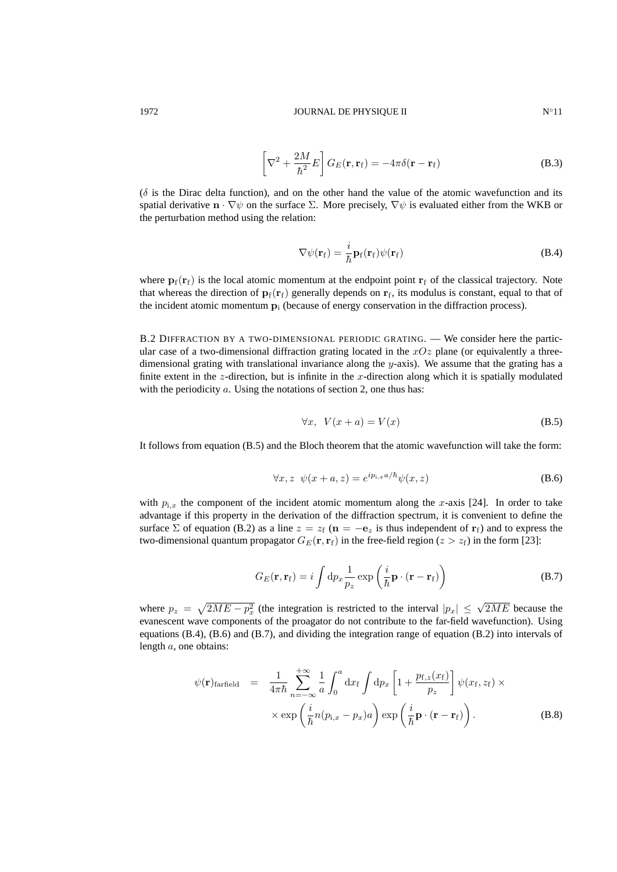$$
\left[\nabla^2 + \frac{2M}{\hbar^2}E\right]G_E(\mathbf{r}, \mathbf{r}_f) = -4\pi\delta(\mathbf{r} - \mathbf{r}_f)
$$
\n(B.3)

 $(\delta)$  is the Dirac delta function), and on the other hand the value of the atomic wavefunction and its spatial derivative  $\mathbf{n} \cdot \nabla \psi$  on the surface  $\Sigma$ . More precisely,  $\nabla \psi$  is evaluated either from the WKB or the perturbation method using the relation:

$$
\nabla \psi(\mathbf{r}_{f}) = \frac{i}{\hbar} \mathbf{p}_{f}(\mathbf{r}_{f}) \psi(\mathbf{r}_{f})
$$
 (B.4)

where  $\mathbf{p}_f(\mathbf{r}_f)$  is the local atomic momentum at the endpoint point  $\mathbf{r}_f$  of the classical trajectory. Note that whereas the direction of  $\mathbf{p}_f(\mathbf{r}_f)$  generally depends on  $\mathbf{r}_f$ , its modulus is constant, equal to that of the incident atomic momentum  $\mathbf{p}_i$  (because of energy conservation in the diffraction process).

B.2 DIFFRACTION BY A TWO-DIMENSIONAL PERIODIC GRATING. — We consider here the particular case of a two-dimensional diffraction grating located in the  $xOz$  plane (or equivalently a threedimensional grating with translational invariance along the y-axis). We assume that the grating has a finite extent in the z-direction, but is infinite in the x-direction along which it is spatially modulated with the periodicity  $a$ . Using the notations of section 2, one thus has:

$$
\forall x, \ V(x+a) = V(x) \tag{B.5}
$$

It follows from equation (B.5) and the Bloch theorem that the atomic wavefunction will take the form:

$$
\forall x, z \ \psi(x+a, z) = e^{ip_{i,x}a/\hbar} \psi(x, z) \tag{B.6}
$$

with  $p_{i,x}$  the component of the incident atomic momentum along the x-axis [24]. In order to take advantage if this property in the derivation of the diffraction spectrum, it is convenient to define the surface  $\Sigma$  of equation (B.2) as a line  $z = z_f$  ( $\mathbf{n} = -\mathbf{e}_z$  is thus independent of  $\mathbf{r}_f$ ) and to express the two-dimensional quantum propagator  $G_F(\mathbf{r}, \mathbf{r_f})$  in the free-field region ( $z > z_f$ ) in the form [23]:

$$
G_E(\mathbf{r}, \mathbf{r}_f) = i \int \mathrm{d}p_x \frac{1}{p_z} \exp\left(\frac{i}{\hbar} \mathbf{p} \cdot (\mathbf{r} - \mathbf{r}_f)\right)
$$
(B.7)

where  $p_z = \sqrt{2ME - p_x^2}$  (the integration is restricted to the interval  $|p_x| \le \sqrt{2ME}$  because the evanescent wave components of the proagator do not contribute to the far-field wavefunction). Using equations (B.4), (B.6) and (B.7), and dividing the integration range of equation (B.2) into intervals of length a, one obtains:

$$
\psi(\mathbf{r})_{\text{farfield}} = \frac{1}{4\pi\hbar} \sum_{n=-\infty}^{+\infty} \frac{1}{a} \int_0^a \mathrm{d}x_f \int \mathrm{d}p_x \left[ 1 + \frac{p_{\text{f},z}(x_f)}{p_z} \right] \psi(x_f, z_f) \times \\ \times \exp\left(\frac{i}{\hbar} n(p_{\text{i},x} - p_x) a\right) \exp\left(\frac{i}{\hbar} \mathbf{p} \cdot (\mathbf{r} - \mathbf{r}_f)\right). \tag{B.8}
$$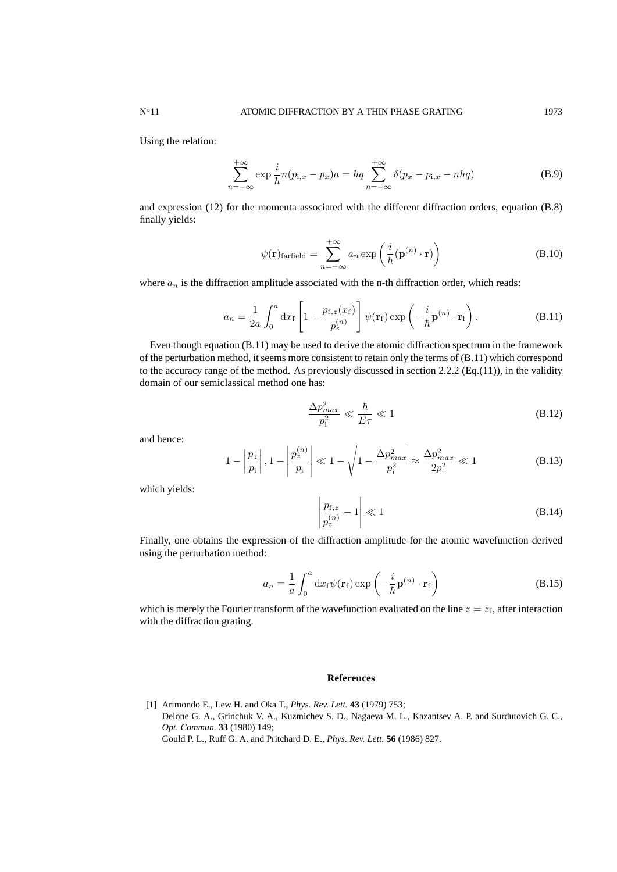Using the relation:

$$
\sum_{n=-\infty}^{+\infty} \exp\frac{i}{\hbar} n(p_{\mathbf{i},x} - p_x) a = \hbar q \sum_{n=-\infty}^{+\infty} \delta(p_x - p_{\mathbf{i},x} - n\hbar q)
$$
 (B.9)

and expression (12) for the momenta associated with the different diffraction orders, equation (B.8) finally yields:

$$
\psi(\mathbf{r})_{\text{farfield}} = \sum_{n=-\infty}^{+\infty} a_n \exp\left(\frac{i}{\hbar} (\mathbf{p}^{(n)} \cdot \mathbf{r})\right)
$$
(B.10)

where  $a_n$  is the diffraction amplitude associated with the n-th diffraction order, which reads:

$$
a_n = \frac{1}{2a} \int_0^a dx_f \left[ 1 + \frac{p_{\rm f,z}(x_{\rm f})}{p_z^{(n)}} \right] \psi(\mathbf{r}_{\rm f}) \exp\left( -\frac{i}{\hbar} \mathbf{p}^{(n)} \cdot \mathbf{r}_{\rm f} \right). \tag{B.11}
$$

Even though equation (B.11) may be used to derive the atomic diffraction spectrum in the framework of the perturbation method, it seems more consistent to retain only the terms of (B.11) which correspond to the accuracy range of the method. As previously discussed in section 2.2.2 (Eq.(11)), in the validity domain of our semiclassical method one has:

$$
\frac{\Delta p_{max}^2}{p_i^2} \ll \frac{\hbar}{E\tau} \ll 1
$$
\n(B.12)

and hence:

$$
1 - \left| \frac{p_z}{p_i} \right|, 1 - \left| \frac{p_z^{(n)}}{p_i} \right| \ll 1 - \sqrt{1 - \frac{\Delta p_{max}^2}{p_i^2}} \approx \frac{\Delta p_{max}^2}{2p_i^2} \ll 1
$$
 (B.13)

which yields:

$$
\left|\frac{p_{\text{f},z}}{p_z^{(n)}} - 1\right| \ll 1\tag{B.14}
$$

Finally, one obtains the expression of the diffraction amplitude for the atomic wavefunction derived using the perturbation method:

 $\mathbf{r}$ 

$$
a_n = \frac{1}{a} \int_0^a \mathrm{d}x_f \psi(\mathbf{r}_f) \exp\left(-\frac{i}{\hbar} \mathbf{p}^{(n)} \cdot \mathbf{r}_f\right)
$$
 (B.15)

which is merely the Fourier transform of the wavefunction evaluated on the line  $z = z_f$ , after interaction with the diffraction grating.

## **References**

[1] Arimondo E., Lew H. and Oka T., *Phys. Rev. Lett.* **43** (1979) 753; Delone G. A., Grinchuk V. A., Kuzmichev S. D., Nagaeva M. L., Kazantsev A. P. and Surdutovich G. C., *Opt. Commun.* **33** (1980) 149; Gould P. L., Ruff G. A. and Pritchard D. E., *Phys. Rev. Lett.* **56** (1986) 827.